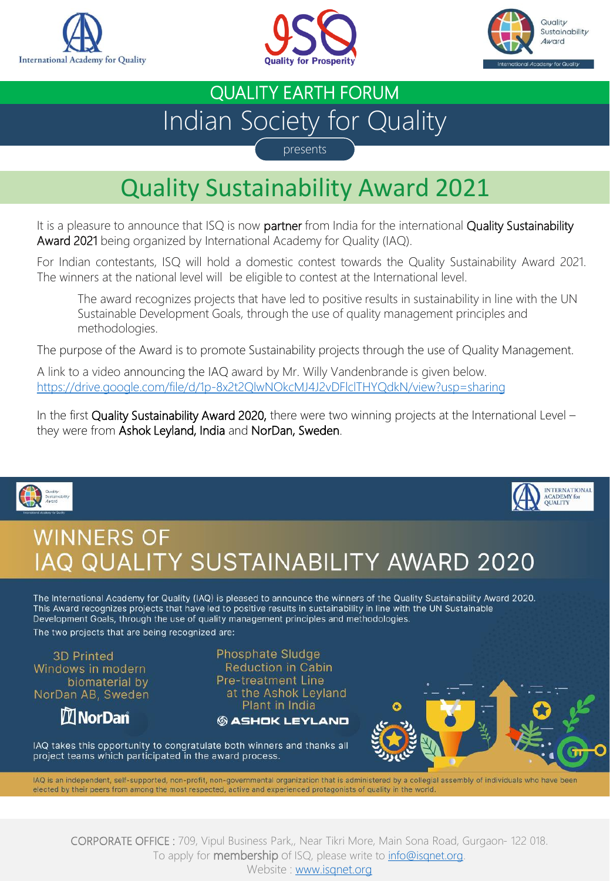





## Indian Society for Quality QUALITY EARTH FORUM

presents

## Quality Sustainability Award 2021

It is a pleasure to announce that ISQ is now partner from India for the international Quality Sustainability Award 2021 being organized by International Academy for Quality (IAQ).

For Indian contestants, ISQ will hold a domestic contest towards the Quality Sustainability Award 2021. The winners at the national level will be eligible to contest at the International level.

The award recognizes projects that have led to positive results in sustainability in line with the UN Sustainable Development Goals, through the use of quality management principles and methodologies.

The purpose of the Award is to promote Sustainability projects through the use of Quality Management.

A link to a video announcing the IAQ award by Mr. Willy Vandenbrande is given below. <https://drive.google.com/file/d/1p-8x2t2QlwNOkcMJ4J2vDFlclTHYQdkN/view?usp=sharing>

In the first Quality Sustainability Award 2020, there were two winning projects at the International Level – they were from Ashok Leyland, India and NorDan, Sweden.





## **WINNERS OF** IAQ QUALITY SUSTAINABILITY AWARD 2020

The International Academy for Quality (IAQ) is pleased to announce the winners of the Quality Sustainability Award 2020. This Award recognizes projects that have led to positive results in sustainability in line with the UN Sustainable Development Goals, through the use of quality management principles and methodologies.

The two projects that are being recognized are:

**3D Printed** Windows in modern biomaterial by NorDan AB, Sweden

**MI** NorDan

**Phosphate Sludge Reduction in Cabin Pre-treatment Line** at the Ashok Leyland Plant in India

**© ASHOK LEYLAND** 



IAQ takes this opportunity to congratulate both winners and thanks all project teams which participated in the award process.

IAQ is an independent, self-supported, non-profit, non-governmental organization that is administered by a collegial assembly of individuals who have been elected by their peers from among the most respected, active and experienced protagonists of quality in the world.

CORPORATE OFFICE : 709, Vipul Business Park,, Near Tikri More, Main Sona Road, Gurgaon- 122 018. To apply for **membership** of ISQ, please write to **info@isgnet.org**.

Website : [www.isqnet.org](http://www.isqnet.org/)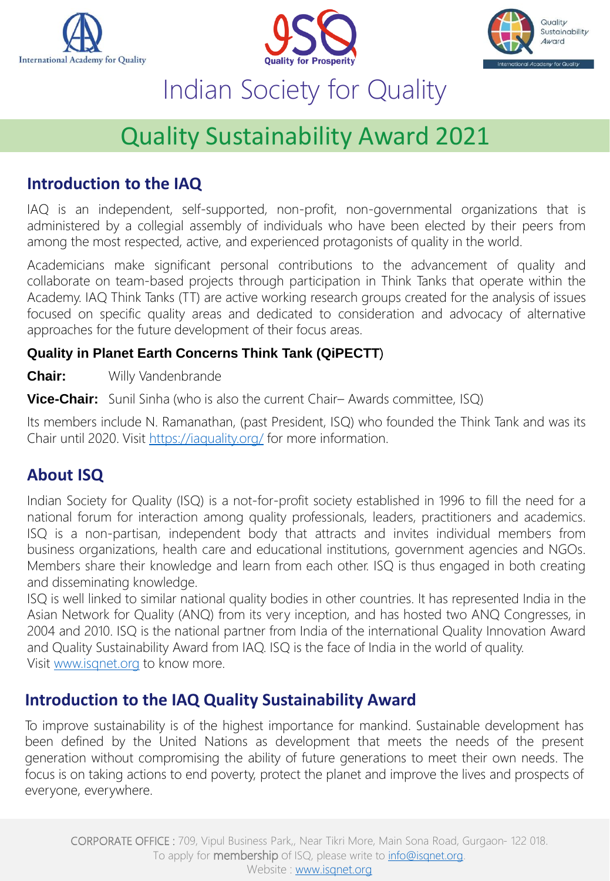





## Quality Sustainability Award 2021

### **Introduction to the IAQ**

IAQ is an independent, self-supported, non-profit, non-governmental organizations that is administered by a collegial assembly of individuals who have been elected by their peers from among the most respected, active, and experienced protagonists of quality in the world.

Academicians make significant personal contributions to the advancement of quality and collaborate on team-based projects through participation in Think Tanks that operate within the Academy. IAQ Think Tanks (TT) are active working research groups created for the analysis of issues focused on specific quality areas and dedicated to consideration and advocacy of alternative approaches for the future development of their focus areas.

#### **Quality in Planet Earth Concerns Think Tank (QiPECTT**)

**Chair:** Willy Vandenbrande

**Vice-Chair:** Sunil Sinha (who is also the current Chair– Awards committee, ISQ)

Its members include N. Ramanathan, (past President, ISQ) who founded the Think Tank and was its Chair until 2020. Visit <https://iaquality.org/> for more information.

### **About ISQ**

Indian Society for Quality (ISQ) is a not-for-profit society established in 1996 to fill the need for a national forum for interaction among quality professionals, leaders, practitioners and academics. ISQ is a non-partisan, independent body that attracts and invites individual members from business organizations, health care and educational institutions, government agencies and NGOs. Members share their knowledge and learn from each other. ISQ is thus engaged in both creating and disseminating knowledge.

ISQ is well linked to similar national quality bodies in other countries. It has represented India in the Asian Network for Quality (ANQ) from its very inception, and has hosted two ANQ Congresses, in 2004 and 2010. ISQ is the national partner from India of the international Quality Innovation Award and Quality Sustainability Award from IAQ. ISQ is the face of India in the world of quality. Visit [www.isqnet.org](http://www.isqnet.org/) to know more.

### **Introduction to the IAQ Quality Sustainability Award**

To improve sustainability is of the highest importance for mankind. Sustainable development has been defined by the United Nations as development that meets the needs of the present generation without compromising the ability of future generations to meet their own needs. The focus is on taking actions to end poverty, protect the planet and improve the lives and prospects of everyone, everywhere.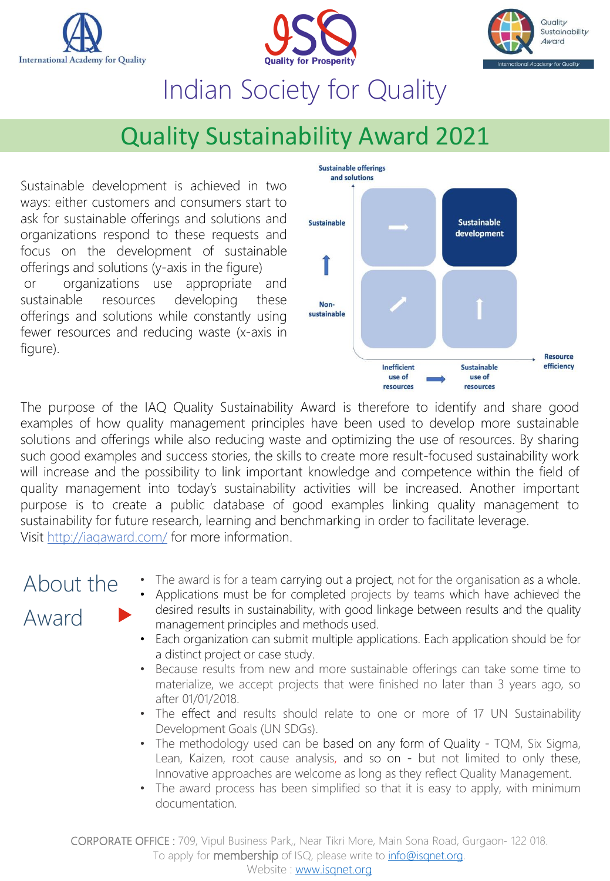





## Quality Sustainability Award 2021

Sustainable development is achieved in two ways: either customers and consumers start to ask for sustainable offerings and solutions and organizations respond to these requests and focus on the development of sustainable offerings and solutions (y-axis in the figure) or organizations use appropriate and sustainable resources developing these offerings and solutions while constantly using fewer resources and reducing waste (x-axis in figure).



The purpose of the IAQ Quality Sustainability Award is therefore to identify and share good examples of how quality management principles have been used to develop more sustainable solutions and offerings while also reducing waste and optimizing the use of resources. By sharing such good examples and success stories, the skills to create more result-focused sustainability work will increase and the possibility to link important knowledge and competence within the field of quality management into today's sustainability activities will be increased. Another important purpose is to create a public database of good examples linking quality management to sustainability for future research, learning and benchmarking in order to facilitate leverage. Visit <http://iaqaward.com/> for more information.

## About the Award

- The award is for a team carrying out a project, not for the organisation as a whole.
- Applications must be for completed projects by teams which have achieved the desired results in sustainability, with good linkage between results and the quality management principles and methods used.
- Each organization can submit multiple applications. Each application should be for a distinct project or case study.
- Because results from new and more sustainable offerings can take some time to materialize, we accept projects that were finished no later than 3 years ago, so after 01/01/2018.
- The effect and results should relate to one or more of 17 UN Sustainability Development Goals (UN SDGs).
- The methodology used can be based on any form of Quality TQM, Six Sigma, Lean, Kaizen, root cause analysis, and so on - but not limited to only these, Innovative approaches are welcome as long as they reflect Quality Management.
- The award process has been simplified so that it is easy to apply, with minimum documentation.

CORPORATE OFFICE : 709, Vipul Business Park,, Near Tikri More, Main Sona Road, Gurgaon- 122 018. To apply for **membership** of ISQ, please write to *[info@isqnet.org](mailto:info@isqnet.org)*.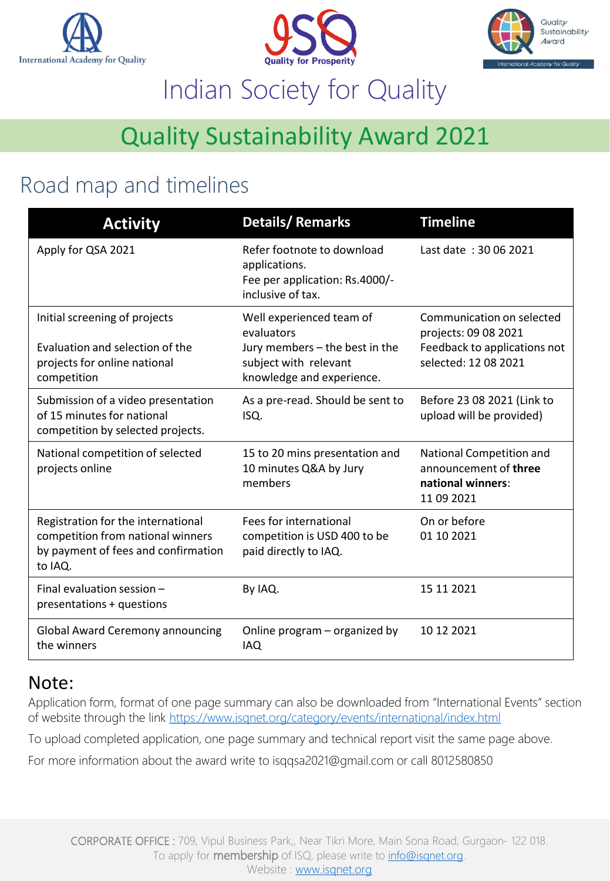





## Quality Sustainability Award 2021

## Road map and timelines

| <b>Activity</b>                                                                                                           | <b>Details/Remarks</b>                                                                                                         | <b>Timeline</b>                                                                                           |
|---------------------------------------------------------------------------------------------------------------------------|--------------------------------------------------------------------------------------------------------------------------------|-----------------------------------------------------------------------------------------------------------|
| Apply for QSA 2021                                                                                                        | Refer footnote to download<br>applications.<br>Fee per application: Rs.4000/-<br>inclusive of tax.                             | Last date: 30.06.2021                                                                                     |
| Initial screening of projects<br>Evaluation and selection of the<br>projects for online national<br>competition           | Well experienced team of<br>evaluators<br>Jury members - the best in the<br>subject with relevant<br>knowledge and experience. | Communication on selected<br>projects: 09 08 2021<br>Feedback to applications not<br>selected: 12 08 2021 |
| Submission of a video presentation<br>of 15 minutes for national<br>competition by selected projects.                     | As a pre-read. Should be sent to<br>ISQ.                                                                                       | Before 23 08 2021 (Link to<br>upload will be provided)                                                    |
| National competition of selected<br>projects online                                                                       | 15 to 20 mins presentation and<br>10 minutes Q&A by Jury<br>members                                                            | National Competition and<br>announcement of three<br>national winners:<br>11 09 2021                      |
| Registration for the international<br>competition from national winners<br>by payment of fees and confirmation<br>to IAQ. | Fees for international<br>competition is USD 400 to be<br>paid directly to IAQ.                                                | On or before<br>01 10 2021                                                                                |
| Final evaluation session -<br>presentations + questions                                                                   | By IAQ.                                                                                                                        | 15 11 2021                                                                                                |
| <b>Global Award Ceremony announcing</b><br>the winners                                                                    | Online program – organized by<br><b>IAQ</b>                                                                                    | 10 12 2021                                                                                                |

### Note:

Application form, format of one page summary can also be downloaded from "International Events" section of website through the link<https://www.isqnet.org/category/events/international/index.html>

To upload completed application, one page summary and technical report visit the same page above.

For more information about the award write to isqqsa2021@gmail.com or call 8012580850